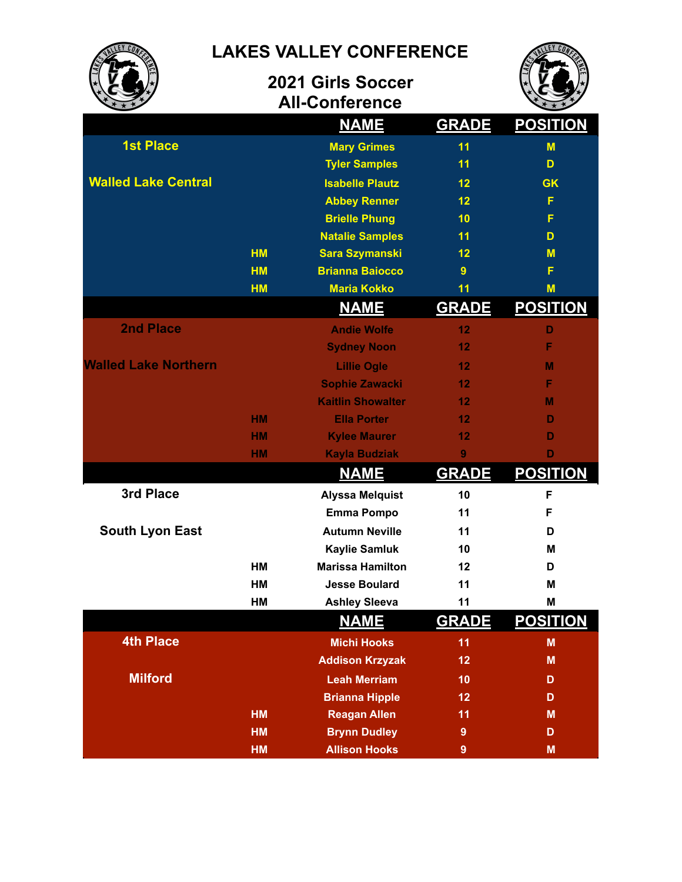**LAKES VALLEY CONFERENCE**

**2021 Girls Soccer All-Conference**



|                             |           | <b>NAME</b>              | <b>GRADE</b> | <u>POSITION</u> |
|-----------------------------|-----------|--------------------------|--------------|-----------------|
| <b>1st Place</b>            |           | <b>Mary Grimes</b>       | 11           | M               |
|                             |           | <b>Tyler Samples</b>     | 11           | D               |
| <b>Walled Lake Central</b>  |           | <b>Isabelle Plautz</b>   | 12           | <b>GK</b>       |
|                             |           | <b>Abbey Renner</b>      | 12           | F               |
|                             |           | <b>Brielle Phung</b>     | 10           | F               |
|                             |           | <b>Natalie Samples</b>   | 11           | D               |
|                             | <b>HM</b> | <b>Sara Szymanski</b>    | 12           | M               |
|                             | <b>HM</b> | <b>Brianna Baiocco</b>   | 9            | F               |
|                             | <b>HM</b> | <b>Maria Kokko</b>       | 11           | M               |
|                             |           | <u>NAME</u>              | <b>GRADE</b> | <u>POSITION</u> |
| <b>2nd Place</b>            |           | <b>Andie Wolfe</b>       | 12           | D               |
|                             |           | <b>Sydney Noon</b>       | 12           | F               |
| <b>Walled Lake Northern</b> |           | <b>Lillie Ogle</b>       | 12           | M               |
|                             |           | <b>Sophie Zawacki</b>    | 12           | F               |
|                             |           | <b>Kaitlin Showalter</b> | 12           | м               |
|                             | <b>HM</b> | <b>Ella Porter</b>       | 12           | D               |
|                             | <b>HM</b> | <b>Kylee Maurer</b>      | 12           | D               |
|                             | HM        | <b>Kayla Budziak</b>     | 9            | D               |
|                             |           | <b>NAME</b>              | <b>GRADE</b> | <b>POSITION</b> |
| 3rd Place                   |           | <b>Alyssa Melquist</b>   | 10           | F               |
|                             |           | <b>Emma Pompo</b>        | 11           | F               |
| <b>South Lyon East</b>      |           | <b>Autumn Neville</b>    | 11           | D               |
|                             |           | <b>Kaylie Samluk</b>     | 10           | M               |
|                             | HM        | <b>Marissa Hamilton</b>  | 12           | D               |
|                             | <b>HM</b> | <b>Jesse Boulard</b>     | 11           | M               |
|                             | HM        | <b>Ashley Sleeva</b>     | 11           | M               |
|                             |           | <b>NAME</b>              | <b>GRADE</b> | <b>POSITION</b> |
| <b>4th Place</b>            |           | <b>Michi Hooks</b>       | 11           | M               |
|                             |           | <b>Addison Krzyzak</b>   | 12           | M               |
| <b>Milford</b>              |           | <b>Leah Merriam</b>      | 10           | D               |
|                             |           | <b>Brianna Hipple</b>    | 12           | D               |
|                             | <b>HM</b> | <b>Reagan Allen</b>      | 11           | M               |
|                             | <b>HM</b> | <b>Brynn Dudley</b>      | 9            | D               |
|                             | HM        | <b>Allison Hooks</b>     | 9            | M               |